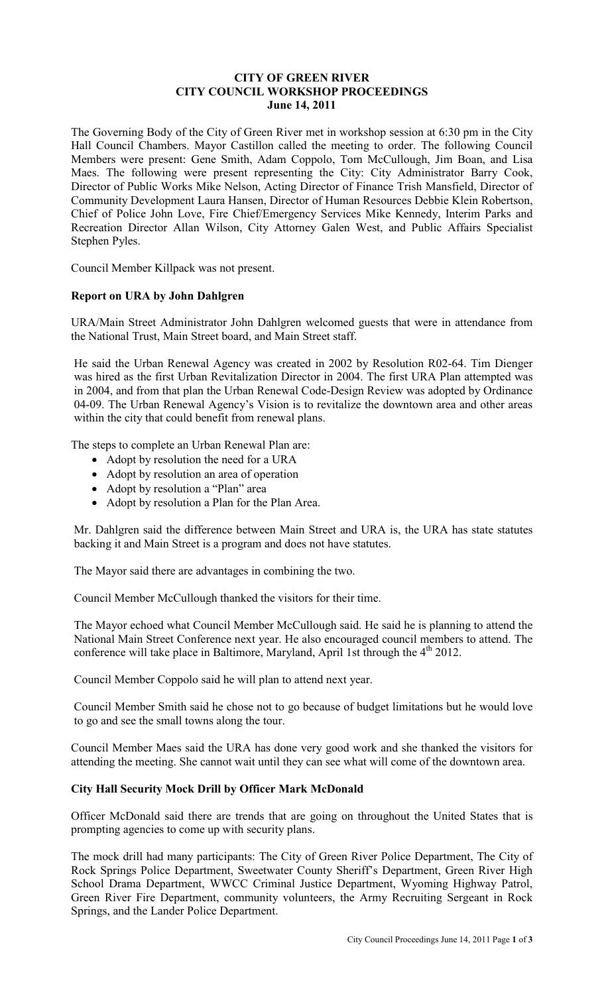## **CITY OF GREEN RIVER CITY COUNCIL WORKSHOP PROCEEDINGS June 14, 2011**

The Governing Body of the City of Green River met in workshop session at 6:30 pm in the City Hall Council Chambers. Mayor Castillon called the meeting to order. The following Council Members were present: Gene Smith, Adam Coppolo, Tom McCullough, Jim Boan, and Lisa Maes. The following were present representing the City: City Administrator Barry Cook, Director of Public Works Mike Nelson, Acting Director of Finance Trish Mansfield, Director of Community Development Laura Hansen, Director of Human Resources Debbie Klein Robertson, Chief of Police John Love, Fire Chief/Emergency Services Mike Kennedy, Interim Parks and Recreation Director Allan Wilson, City Attorney Galen West, and Public Affairs Specialist Stephen Pyles.

Council Member Killpack was not present.

# **Report on URA by John Dahlgren**

URA/Main Street Administrator John Dahlgren welcomed guests that were in attendance from the National Trust, Main Street board, and Main Street staff.

He said the Urban Renewal Agency was created in 2002 by Resolution R02-64. Tim Dienger was hired as the first Urban Revitalization Director in 2004. The first URA Plan attempted was in 2004, and from that plan the Urban Renewal Code-Design Review was adopted by Ordinance 04-09. The Urban Renewal Agency's Vision is to revitalize the downtown area and other areas within the city that could benefit from renewal plans.

The steps to complete an Urban Renewal Plan are:

- Adopt by resolution the need for a URA
- Adopt by resolution an area of operation
- Adopt by resolution a "Plan" area
- Adopt by resolution a Plan for the Plan Area.

Mr. Dahlgren said the difference between Main Street and URA is, the URA has state statutes backing it and Main Street is a program and does not have statutes.

The Mayor said there are advantages in combining the two.

Council Member McCullough thanked the visitors for their time.

The Mayor echoed what Council Member McCullough said. He said he is planning to attend the National Main Street Conference next year. He also encouraged council members to attend. The conference will take place in Baltimore, Maryland, April 1st through the  $4<sup>th</sup> 2012$ .

Council Member Coppolo said he will plan to attend next year.

Council Member Smith said he chose not to go because of budget limitations but he would love to go and see the small towns along the tour.

Council Member Maes said the URA has done very good work and she thanked the visitors for attending the meeting. She cannot wait until they can see what will come of the downtown area.

### **City Hall Security Mock Drill by Officer Mark McDonald**

Officer McDonald said there are trends that are going on throughout the United States that is prompting agencies to come up with security plans.

The mock drill had many participants: The City of Green River Police Department, The City of Rock Springs Police Department, Sweetwater County Sheriff's Department, Green River High School Drama Department, WWCC Criminal Justice Department, Wyoming Highway Patrol, Green River Fire Department, community volunteers, the Army Recruiting Sergeant in Rock Springs, and the Lander Police Department.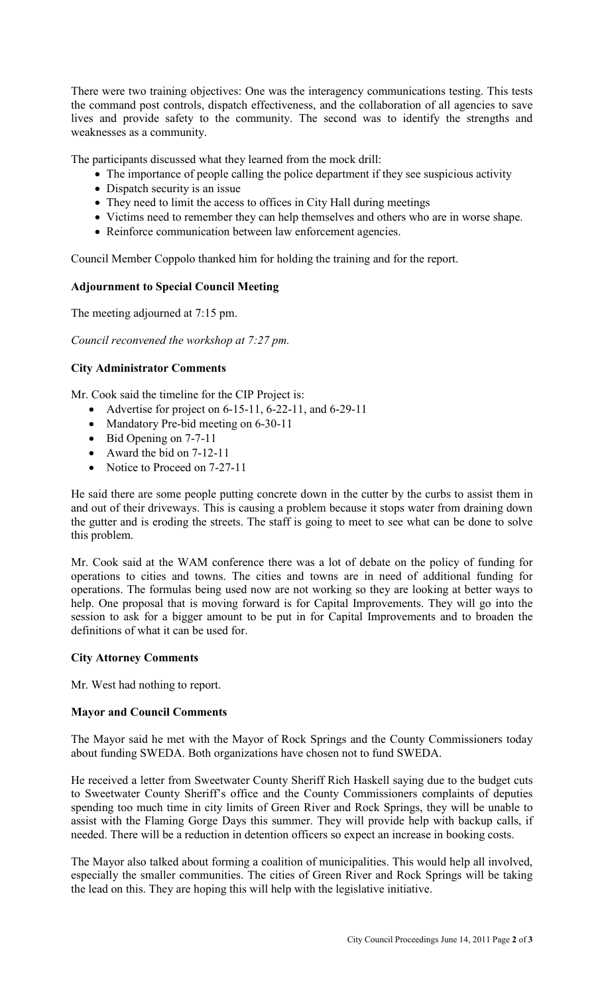There were two training objectives: One was the interagency communications testing. This tests the command post controls, dispatch effectiveness, and the collaboration of all agencies to save lives and provide safety to the community. The second was to identify the strengths and weaknesses as a community.

The participants discussed what they learned from the mock drill:

- The importance of people calling the police department if they see suspicious activity
- Dispatch security is an issue
- They need to limit the access to offices in City Hall during meetings
- Victims need to remember they can help themselves and others who are in worse shape.
- Reinforce communication between law enforcement agencies.

Council Member Coppolo thanked him for holding the training and for the report.

# **Adjournment to Special Council Meeting**

The meeting adjourned at 7:15 pm.

*Council reconvened the workshop at 7:27 pm.* 

### **City Administrator Comments**

Mr. Cook said the timeline for the CIP Project is:

- Advertise for project on  $6-15-11$ ,  $6-22-11$ , and  $6-29-11$
- Mandatory Pre-bid meeting on 6-30-11
- Bid Opening on 7-7-11
- Award the bid on 7-12-11
- Notice to Proceed on 7-27-11

He said there are some people putting concrete down in the cutter by the curbs to assist them in and out of their driveways. This is causing a problem because it stops water from draining down the gutter and is eroding the streets. The staff is going to meet to see what can be done to solve this problem.

Mr. Cook said at the WAM conference there was a lot of debate on the policy of funding for operations to cities and towns. The cities and towns are in need of additional funding for operations. The formulas being used now are not working so they are looking at better ways to help. One proposal that is moving forward is for Capital Improvements. They will go into the session to ask for a bigger amount to be put in for Capital Improvements and to broaden the definitions of what it can be used for.

### **City Attorney Comments**

Mr. West had nothing to report.

### **Mayor and Council Comments**

The Mayor said he met with the Mayor of Rock Springs and the County Commissioners today about funding SWEDA. Both organizations have chosen not to fund SWEDA.

He received a letter from Sweetwater County Sheriff Rich Haskell saying due to the budget cuts to Sweetwater County Sheriff's office and the County Commissioners complaints of deputies spending too much time in city limits of Green River and Rock Springs, they will be unable to assist with the Flaming Gorge Days this summer. They will provide help with backup calls, if needed. There will be a reduction in detention officers so expect an increase in booking costs.

The Mayor also talked about forming a coalition of municipalities. This would help all involved, especially the smaller communities. The cities of Green River and Rock Springs will be taking the lead on this. They are hoping this will help with the legislative initiative.